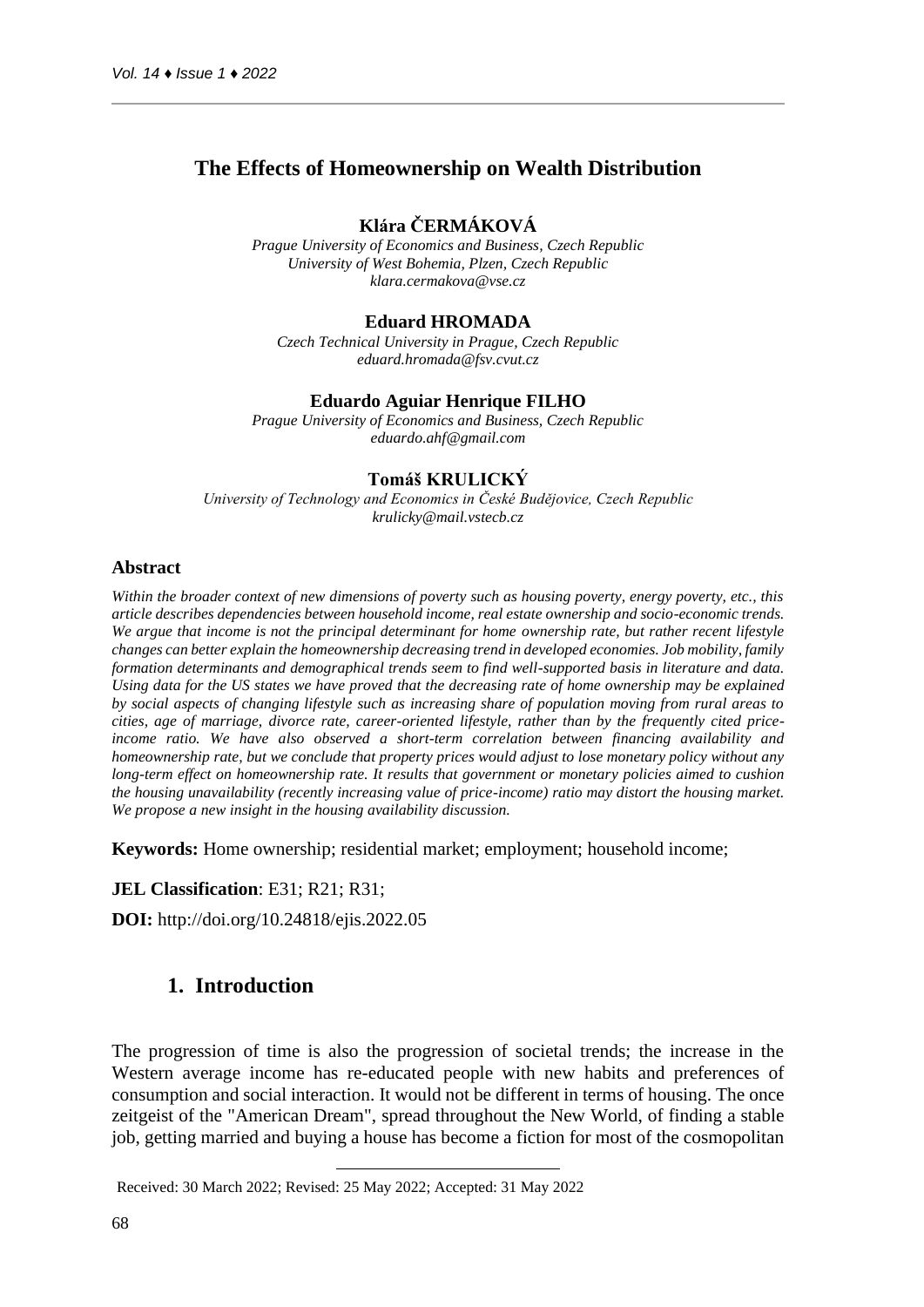## **The Effects of Homeownership on Wealth Distribution**

## **Klára ČERMÁKOVÁ**

*Prague University of Economics and Business, Czech Republic University of West Bohemia, Plzen, Czech Republic klara.cermakova@vse.cz*

### **Eduard HROMADA**

*Czech Technical University in Prague, Czech Republic eduard.hromada@fsv.cvut.cz*

### **Eduardo Aguiar Henrique FILHO**

*Prague University of Economics and Business, Czech Republic eduardo.ahf@gmail.com*

### **Tomáš KRULICKÝ**

*University of Technology and Economics in České Budějovice, Czech Republic krulicky@mail.vstecb.cz*

#### **Abstract<sup>1</sup>**

*Within the broader context of new dimensions of poverty such as housing poverty, energy poverty, etc., this article describes dependencies between household income, real estate ownership and socio-economic trends. We argue that income is not the principal determinant for home ownership rate, but rather recent lifestyle changes can better explain the homeownership decreasing trend in developed economies. Job mobility, family formation determinants and demographical trends seem to find well-supported basis in literature and data. Using data for the US states we have proved that the decreasing rate of home ownership may be explained by social aspects of changing lifestyle such as increasing share of population moving from rural areas to cities, age of marriage, divorce rate, career-oriented lifestyle, rather than by the frequently cited priceincome ratio. We have also observed a short-term correlation between financing availability and homeownership rate, but we conclude that property prices would adjust to lose monetary policy without any long-term effect on homeownership rate. It results that government or monetary policies aimed to cushion the housing unavailability (recently increasing value of price-income) ratio may distort the housing market. We propose a new insight in the housing availability discussion.*

**Keywords:** Home ownership; residential market; employment; household income;

#### **JEL Classification**: E31; R21; R31;

**DOI:** http://doi.org/10.24818/ejis.2022.05

## **1. Introduction**

The progression of time is also the progression of societal trends; the increase in the Western average income has re-educated people with new habits and preferences of consumption and social interaction. It would not be different in terms of housing. The once zeitgeist of the "American Dream", spread throughout the New World, of finding a stable job, getting married and buying a house has become a fiction for most of the cosmopolitan

1Received: 30 March 2022; Revised: 25 May 2022; Accepted: 31 May 2022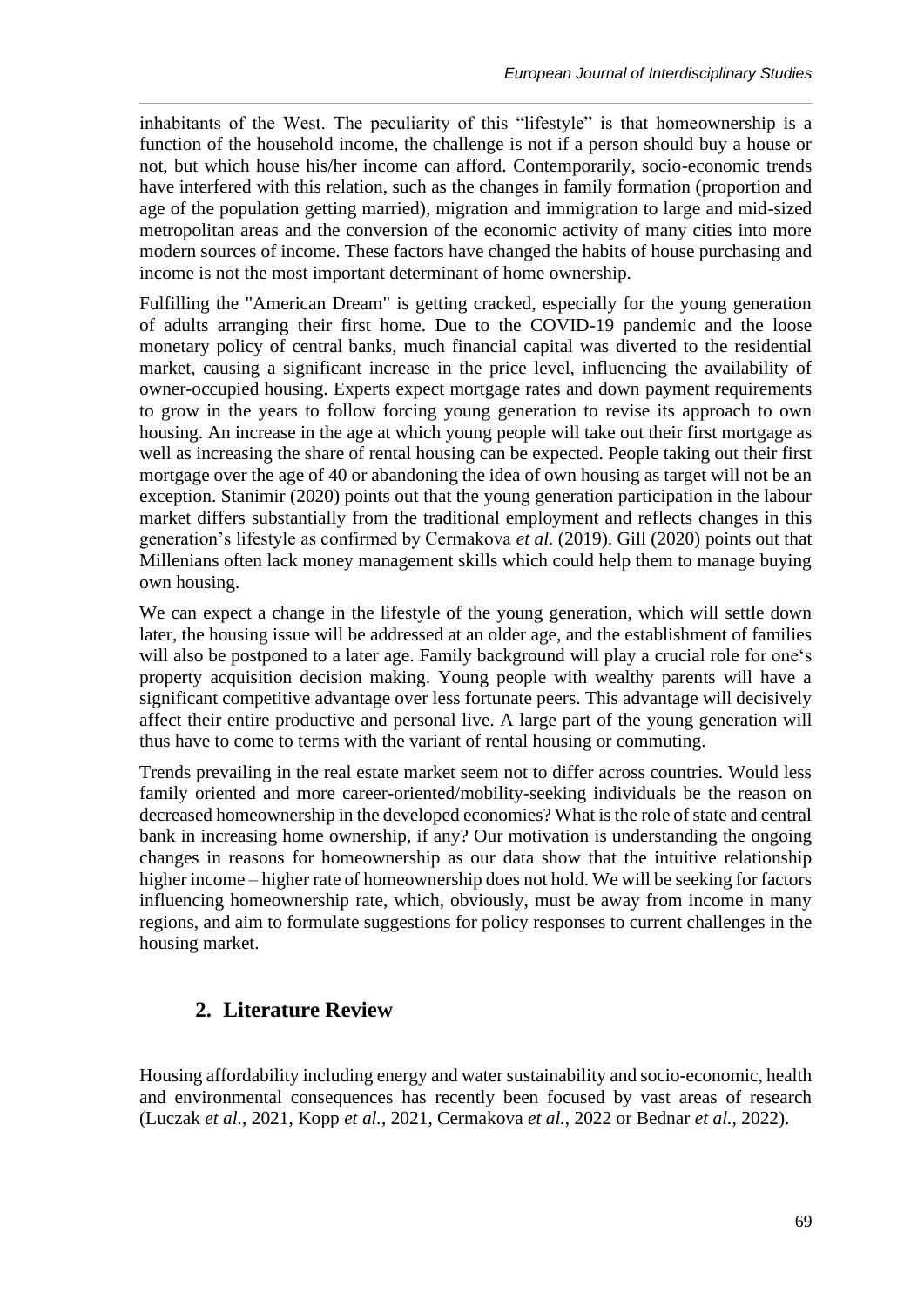inhabitants of the West. The peculiarity of this "lifestyle" is that homeownership is a function of the household income, the challenge is not if a person should buy a house or not, but which house his/her income can afford. Contemporarily, socio-economic trends have interfered with this relation, such as the changes in family formation (proportion and age of the population getting married), migration and immigration to large and mid-sized metropolitan areas and the conversion of the economic activity of many cities into more modern sources of income. These factors have changed the habits of house purchasing and income is not the most important determinant of home ownership.

Fulfilling the "American Dream" is getting cracked, especially for the young generation of adults arranging their first home. Due to the COVID-19 pandemic and the loose monetary policy of central banks, much financial capital was diverted to the residential market, causing a significant increase in the price level, influencing the availability of owner-occupied housing. Experts expect mortgage rates and down payment requirements to grow in the years to follow forcing young generation to revise its approach to own housing. An increase in the age at which young people will take out their first mortgage as well as increasing the share of rental housing can be expected. People taking out their first mortgage over the age of 40 or abandoning the idea of own housing as target will not be an exception. Stanimir (2020) points out that the young generation participation in the labour market differs substantially from the traditional employment and reflects changes in this generation's lifestyle as confirmed by Cermakova *et al.* (2019). Gill (2020) points out that Millenians often lack money management skills which could help them to manage buying own housing.

We can expect a change in the lifestyle of the young generation, which will settle down later, the housing issue will be addressed at an older age, and the establishment of families will also be postponed to a later age. Family background will play a crucial role for one's property acquisition decision making. Young people with wealthy parents will have a significant competitive advantage over less fortunate peers. This advantage will decisively affect their entire productive and personal live. A large part of the young generation will thus have to come to terms with the variant of rental housing or commuting.

Trends prevailing in the real estate market seem not to differ across countries. Would less family oriented and more career-oriented/mobility-seeking individuals be the reason on decreased homeownership in the developed economies? What is the role of state and central bank in increasing home ownership, if any? Our motivation is understanding the ongoing changes in reasons for homeownership as our data show that the intuitive relationship higher income – higher rate of homeownership does not hold. We will be seeking for factors influencing homeownership rate, which, obviously, must be away from income in many regions, and aim to formulate suggestions for policy responses to current challenges in the housing market.

# **2. Literature Review**

Housing affordability including energy and water sustainability and socio-economic, health and environmental consequences has recently been focused by vast areas of research (Luczak *et al.*, 2021, Kopp *et al.*, 2021, Cermakova *et al.*, 2022 or Bednar *et al.,* 2022).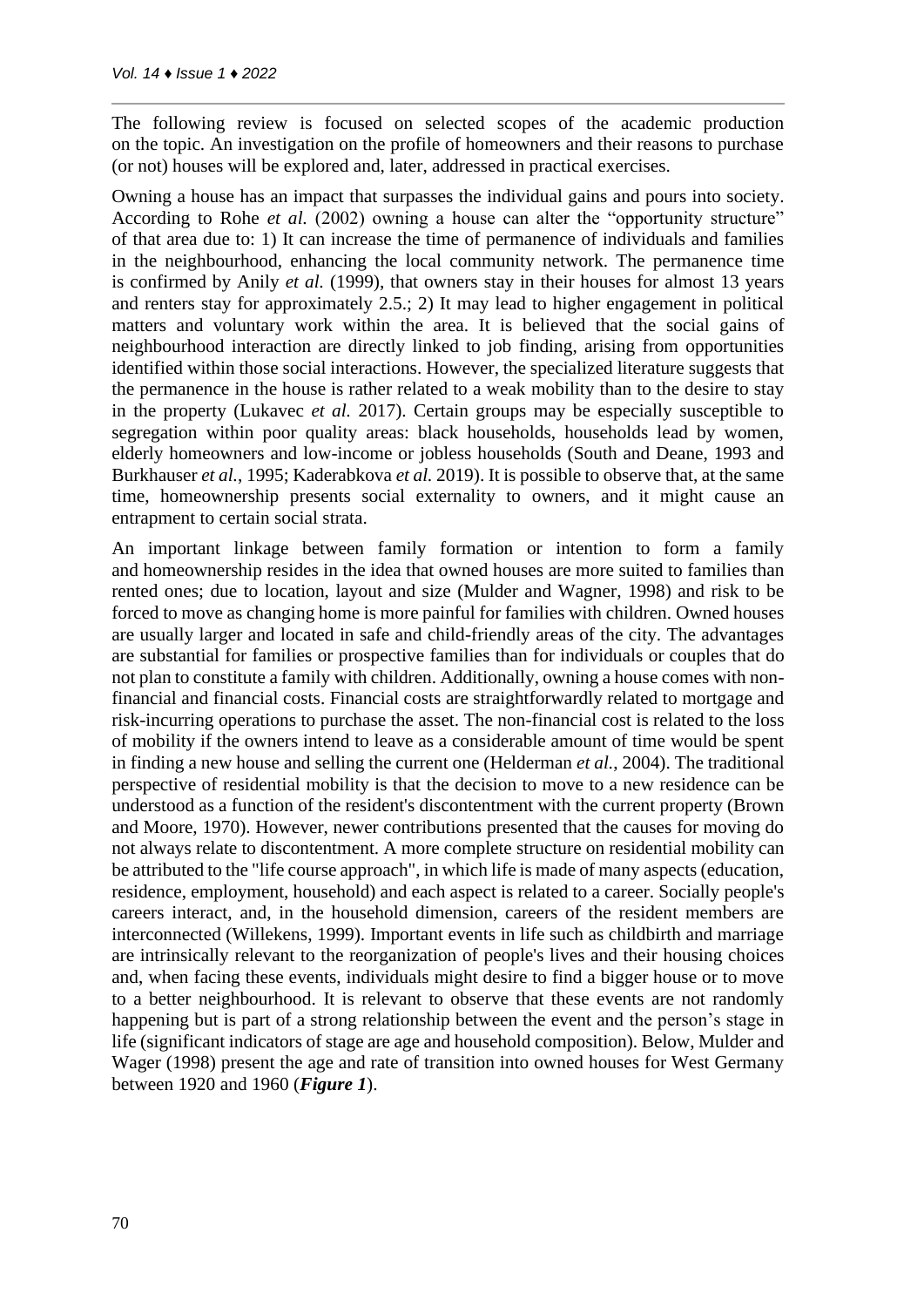The following review is focused on selected scopes of the academic production on the topic. An investigation on the profile of homeowners and their reasons to purchase (or not) houses will be explored and, later, addressed in practical exercises.

Owning a house has an impact that surpasses the individual gains and pours into society. According to Rohe *et al.* (2002) owning a house can alter the "opportunity structure" of that area due to: 1) It can increase the time of permanence of individuals and families in the neighbourhood, enhancing the local community network. The permanence time is confirmed by Anily *et al.* (1999), that owners stay in their houses for almost 13 years and renters stay for approximately 2.5.; 2) It may lead to higher engagement in political matters and voluntary work within the area. It is believed that the social gains of neighbourhood interaction are directly linked to job finding, arising from opportunities identified within those social interactions. However, the specialized literature suggests that the permanence in the house is rather related to a weak mobility than to the desire to stay in the property (Lukavec *et al.* 2017). Certain groups may be especially susceptible to segregation within poor quality areas: black households, households lead by women, elderly homeowners and low-income or jobless households (South and Deane, 1993 and Burkhauser *et al.*, 1995; Kaderabkova *et al.* 2019). It is possible to observe that, at the same time, homeownership presents social externality to owners, and it might cause an entrapment to certain social strata.

An important linkage between family formation or intention to form a family and homeownership resides in the idea that owned houses are more suited to families than rented ones; due to location, layout and size (Mulder and Wagner, 1998) and risk to be forced to move as changing home is more painful for families with children. Owned houses are usually larger and located in safe and child-friendly areas of the city. The advantages are substantial for families or prospective families than for individuals or couples that do not plan to constitute a family with children. Additionally, owning a house comes with nonfinancial and financial costs. Financial costs are straightforwardly related to mortgage and risk-incurring operations to purchase the asset. The non-financial cost is related to the loss of mobility if the owners intend to leave as a considerable amount of time would be spent in finding a new house and selling the current one (Helderman *et al.*, 2004). The traditional perspective of residential mobility is that the decision to move to a new residence can be understood as a function of the resident's discontentment with the current property (Brown and Moore, 1970). However, newer contributions presented that the causes for moving do not always relate to discontentment. A more complete structure on residential mobility can be attributed to the "life course approach", in which life is made of many aspects (education, residence, employment, household) and each aspect is related to a career. Socially people's careers interact, and, in the household dimension, careers of the resident members are interconnected (Willekens, 1999). Important events in life such as childbirth and marriage are intrinsically relevant to the reorganization of people's lives and their housing choices and, when facing these events, individuals might desire to find a bigger house or to move to a better neighbourhood. It is relevant to observe that these events are not randomly happening but is part of a strong relationship between the event and the person's stage in life (significant indicators of stage are age and household composition). Below, Mulder and Wager (1998) present the age and rate of transition into owned houses for West Germany between 1920 and 1960 (*Figure 1*).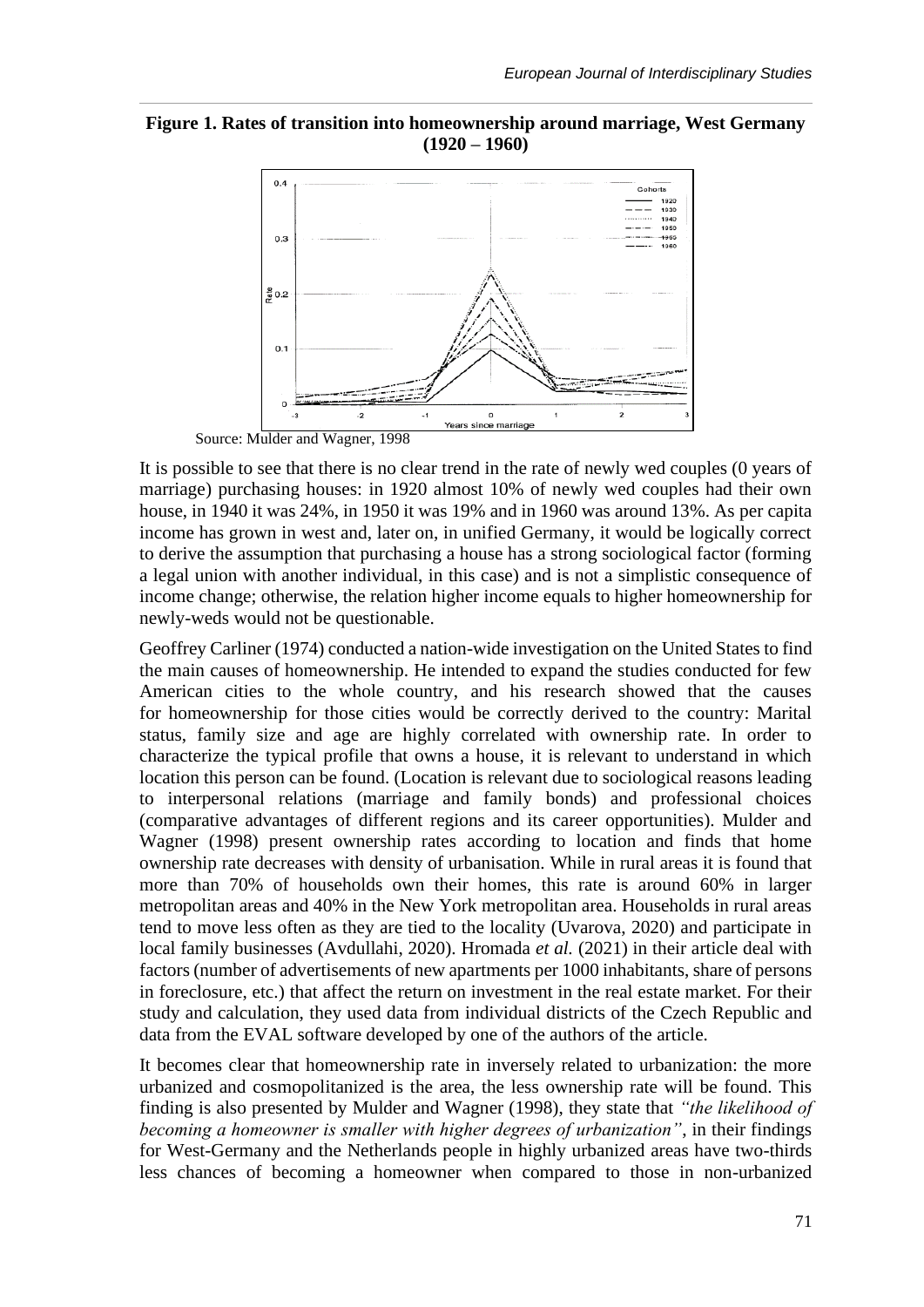### **Figure 1. Rates of transition into homeownership around marriage, West Germany (1920 – 1960)**



Source: Mulder and Wagner, 1998

It is possible to see that there is no clear trend in the rate of newly wed couples (0 years of marriage) purchasing houses: in 1920 almost 10% of newly wed couples had their own house, in 1940 it was 24%, in 1950 it was 19% and in 1960 was around 13%. As per capita income has grown in west and, later on, in unified Germany, it would be logically correct to derive the assumption that purchasing a house has a strong sociological factor (forming a legal union with another individual, in this case) and is not a simplistic consequence of income change; otherwise, the relation higher income equals to higher homeownership for newly-weds would not be questionable.

Geoffrey Carliner (1974) conducted a nation-wide investigation on the United States to find the main causes of homeownership. He intended to expand the studies conducted for few American cities to the whole country, and his research showed that the causes for homeownership for those cities would be correctly derived to the country: Marital status, family size and age are highly correlated with ownership rate. In order to characterize the typical profile that owns a house, it is relevant to understand in which location this person can be found. (Location is relevant due to sociological reasons leading to interpersonal relations (marriage and family bonds) and professional choices (comparative advantages of different regions and its career opportunities). Mulder and Wagner (1998) present ownership rates according to location and finds that home ownership rate decreases with density of urbanisation. While in rural areas it is found that more than 70% of households own their homes, this rate is around 60% in larger metropolitan areas and 40% in the New York metropolitan area. Households in rural areas tend to move less often as they are tied to the locality (Uvarova, 2020) and participate in local family businesses (Avdullahi, 2020). Hromada *et al.* (2021) in their article deal with factors (number of advertisements of new apartments per 1000 inhabitants, share of persons in foreclosure, etc.) that affect the return on investment in the real estate market. For their study and calculation, they used data from individual districts of the Czech Republic and data from the EVAL software developed by one of the authors of the article.

It becomes clear that homeownership rate in inversely related to urbanization: the more urbanized and cosmopolitanized is the area, the less ownership rate will be found. This finding is also presented by Mulder and Wagner (1998), they state that *"the likelihood of becoming a homeowner is smaller with higher degrees of urbanization"*, in their findings for West-Germany and the Netherlands people in highly urbanized areas have two-thirds less chances of becoming a homeowner when compared to those in non-urbanized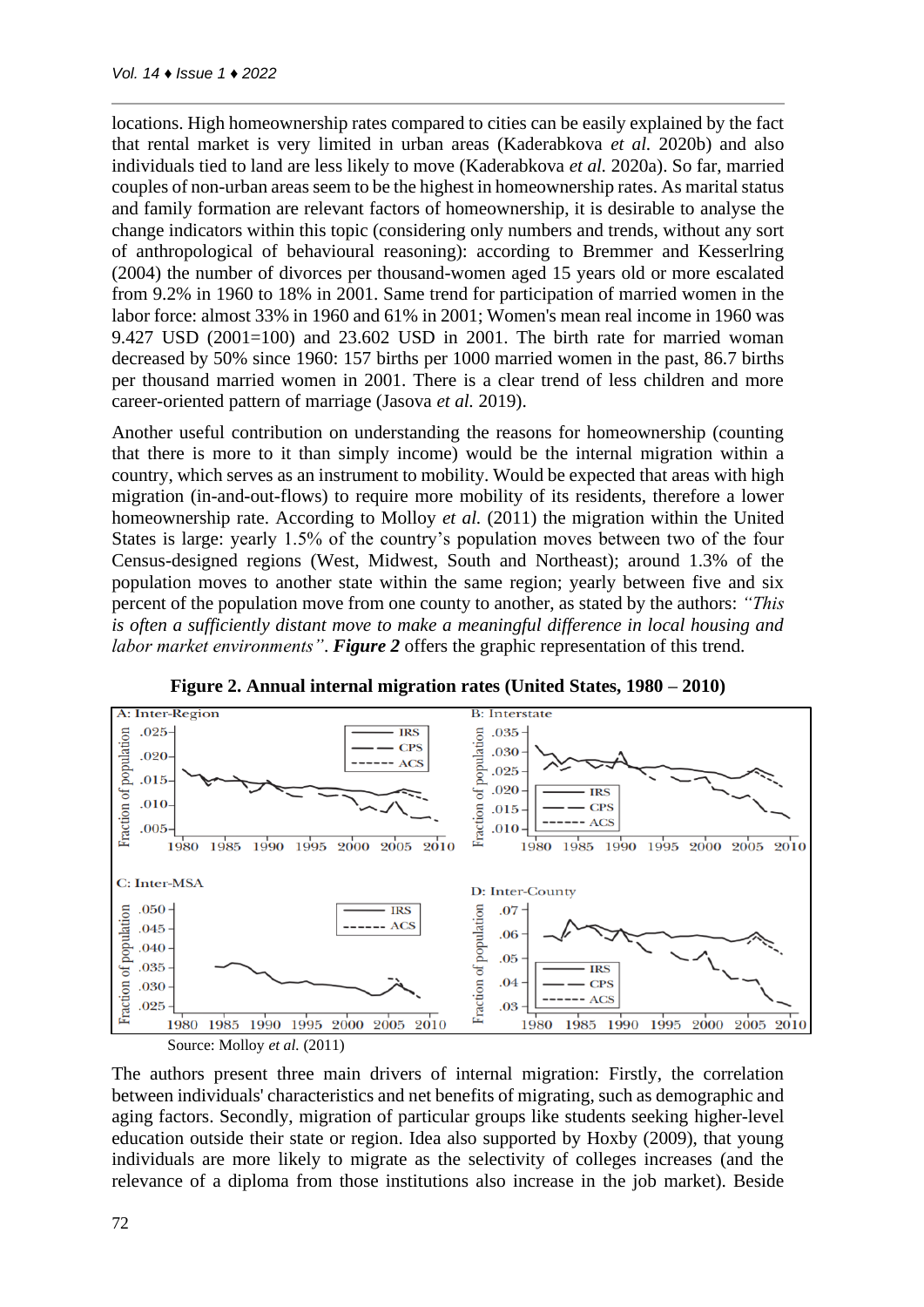locations. High homeownership rates compared to cities can be easily explained by the fact that rental market is very limited in urban areas (Kaderabkova *et al.* 2020b) and also individuals tied to land are less likely to move (Kaderabkova *et al.* 2020a). So far, married couples of non-urban areas seem to be the highest in homeownership rates. As marital status and family formation are relevant factors of homeownership, it is desirable to analyse the change indicators within this topic (considering only numbers and trends, without any sort of anthropological of behavioural reasoning): according to Bremmer and Kesserlring (2004) the number of divorces per thousand-women aged 15 years old or more escalated from 9.2% in 1960 to 18% in 2001. Same trend for participation of married women in the labor force: almost 33% in 1960 and 61% in 2001; Women's mean real income in 1960 was 9.427 USD  $(2001=100)$  and  $23.602$  USD in 2001. The birth rate for married woman decreased by 50% since 1960: 157 births per 1000 married women in the past, 86.7 births per thousand married women in 2001. There is a clear trend of less children and more career-oriented pattern of marriage (Jasova *et al.* 2019).

Another useful contribution on understanding the reasons for homeownership (counting that there is more to it than simply income) would be the internal migration within a country, which serves as an instrument to mobility. Would be expected that areas with high migration (in-and-out-flows) to require more mobility of its residents, therefore a lower homeownership rate. According to Molloy *et al.* (2011) the migration within the United States is large: yearly 1.5% of the country's population moves between two of the four Census-designed regions (West, Midwest, South and Northeast); around 1.3% of the population moves to another state within the same region; yearly between five and six percent of the population move from one county to another, as stated by the authors: *"This is often a sufficiently distant move to make a meaningful difference in local housing and labor market environments"*. *Figure 2* offers the graphic representation of this trend.



**Figure 2. Annual internal migration rates (United States, 1980 – 2010)**

The authors present three main drivers of internal migration: Firstly, the correlation between individuals' characteristics and net benefits of migrating, such as demographic and aging factors. Secondly, migration of particular groups like students seeking higher-level education outside their state or region. Idea also supported by Hoxby (2009), that young individuals are more likely to migrate as the selectivity of colleges increases (and the relevance of a diploma from those institutions also increase in the job market). Beside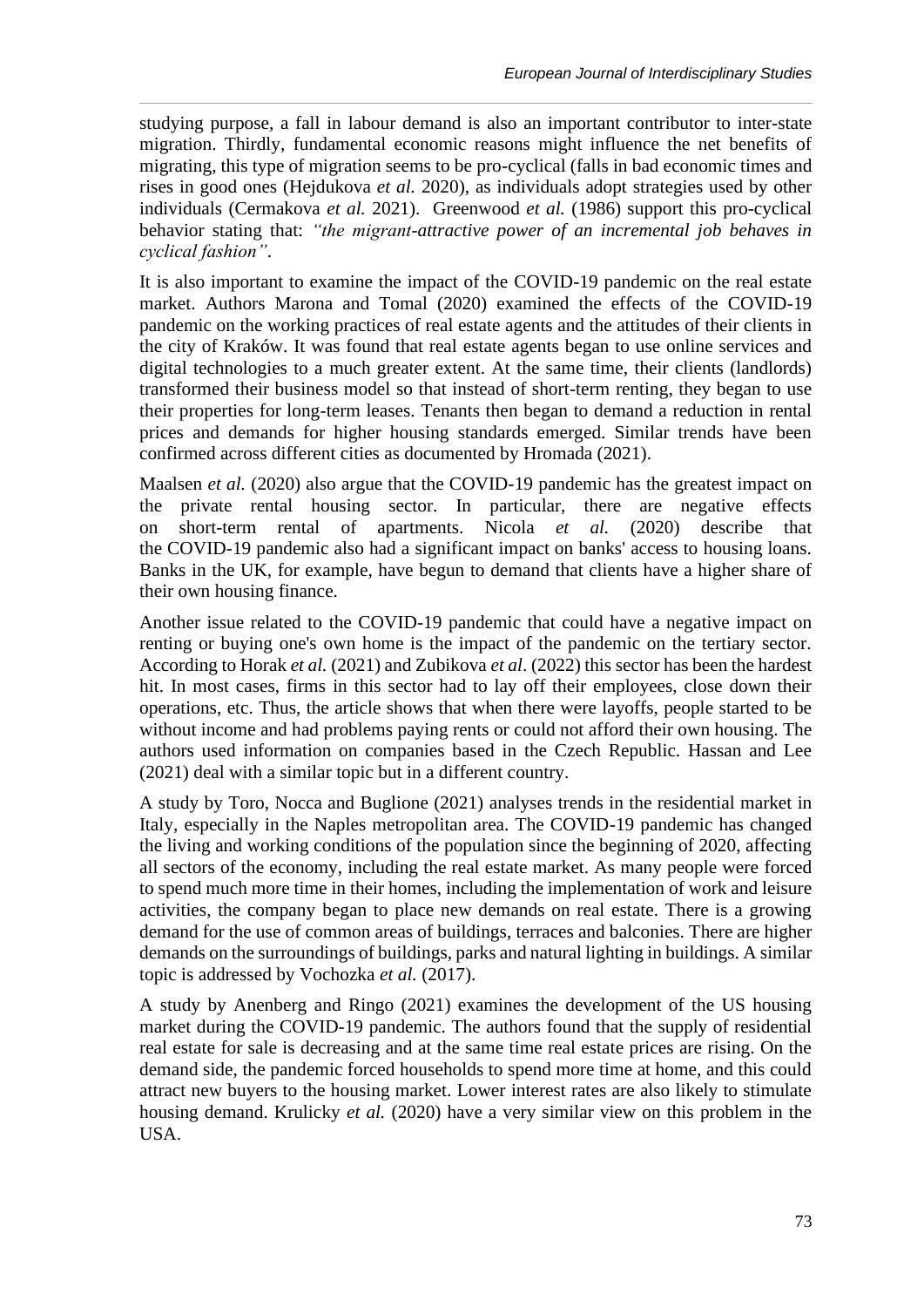studying purpose, a fall in labour demand is also an important contributor to inter-state migration. Thirdly, fundamental economic reasons might influence the net benefits of migrating, this type of migration seems to be pro-cyclical (falls in bad economic times and rises in good ones (Hejdukova *et al.* 2020), as individuals adopt strategies used by other individuals (Cermakova *et al.* 2021). Greenwood *et al.* (1986) support this pro-cyclical behavior stating that: *"the migrant-attractive power of an incremental job behaves in cyclical fashion"*.

It is also important to examine the impact of the COVID-19 pandemic on the real estate market. Authors Marona and Tomal (2020) examined the effects of the COVID-19 pandemic on the working practices of real estate agents and the attitudes of their clients in the city of Kraków. It was found that real estate agents began to use online services and digital technologies to a much greater extent. At the same time, their clients (landlords) transformed their business model so that instead of short-term renting, they began to use their properties for long-term leases. Tenants then began to demand a reduction in rental prices and demands for higher housing standards emerged. Similar trends have been confirmed across different cities as documented by Hromada (2021).

Maalsen *et al.* (2020) also argue that the COVID-19 pandemic has the greatest impact on the private rental housing sector. In particular, there are negative effects on short-term rental of apartments. Nicola *et al.* (2020) describe that the COVID-19 pandemic also had a significant impact on banks' access to housing loans. Banks in the UK, for example, have begun to demand that clients have a higher share of their own housing finance.

Another issue related to the COVID-19 pandemic that could have a negative impact on renting or buying one's own home is the impact of the pandemic on the tertiary sector. According to Horak *et al.* (2021) and Zubikova *et al*. (2022) this sector has been the hardest hit. In most cases, firms in this sector had to lay off their employees, close down their operations, etc. Thus, the article shows that when there were layoffs, people started to be without income and had problems paying rents or could not afford their own housing. The authors used information on companies based in the Czech Republic. Hassan and Lee (2021) deal with a similar topic but in a different country.

A study by Toro, Nocca and Buglione (2021) analyses trends in the residential market in Italy, especially in the Naples metropolitan area. The COVID-19 pandemic has changed the living and working conditions of the population since the beginning of 2020, affecting all sectors of the economy, including the real estate market. As many people were forced to spend much more time in their homes, including the implementation of work and leisure activities, the company began to place new demands on real estate. There is a growing demand for the use of common areas of buildings, terraces and balconies. There are higher demands on the surroundings of buildings, parks and natural lighting in buildings. A similar topic is addressed by Vochozka *et al.* (2017).

A study by Anenberg and Ringo (2021) examines the development of the US housing market during the COVID-19 pandemic. The authors found that the supply of residential real estate for sale is decreasing and at the same time real estate prices are rising. On the demand side, the pandemic forced households to spend more time at home, and this could attract new buyers to the housing market. Lower interest rates are also likely to stimulate housing demand. Krulicky *et al.* (2020) have a very similar view on this problem in the USA.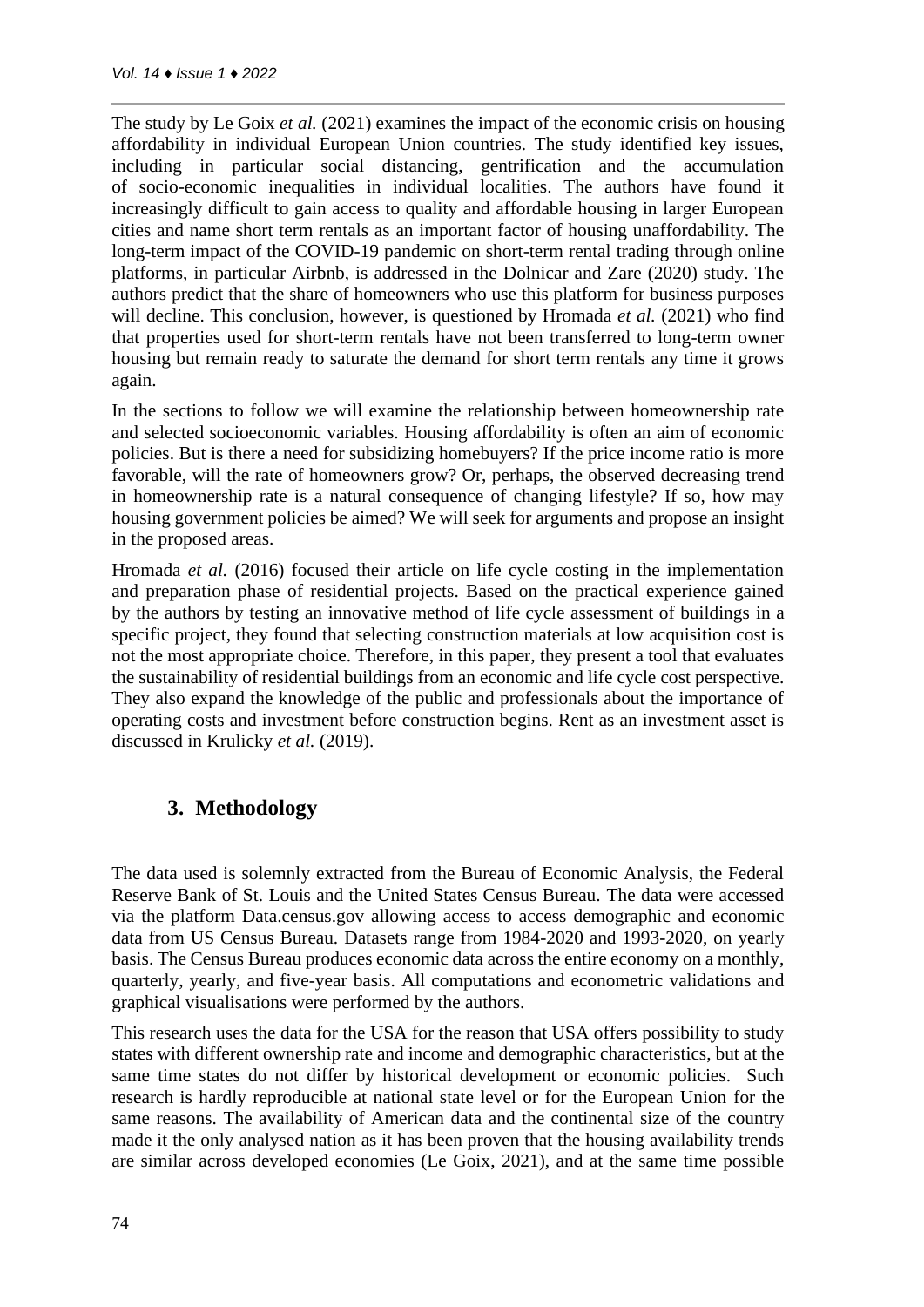The study by Le Goix *et al.* (2021) examines the impact of the economic crisis on housing affordability in individual European Union countries. The study identified key issues, including in particular social distancing, gentrification and the accumulation of socio-economic inequalities in individual localities. The authors have found it increasingly difficult to gain access to quality and affordable housing in larger European cities and name short term rentals as an important factor of housing unaffordability. The long-term impact of the COVID-19 pandemic on short-term rental trading through online platforms, in particular Airbnb, is addressed in the Dolnicar and Zare (2020) study. The authors predict that the share of homeowners who use this platform for business purposes will decline. This conclusion, however, is questioned by Hromada *et al.* (2021) who find that properties used for short-term rentals have not been transferred to long-term owner housing but remain ready to saturate the demand for short term rentals any time it grows again.

In the sections to follow we will examine the relationship between homeownership rate and selected socioeconomic variables. Housing affordability is often an aim of economic policies. But is there a need for subsidizing homebuyers? If the price income ratio is more favorable, will the rate of homeowners grow? Or, perhaps, the observed decreasing trend in homeownership rate is a natural consequence of changing lifestyle? If so, how may housing government policies be aimed? We will seek for arguments and propose an insight in the proposed areas.

Hromada *et al.* (2016) focused their article on life cycle costing in the implementation and preparation phase of residential projects. Based on the practical experience gained by the authors by testing an innovative method of life cycle assessment of buildings in a specific project, they found that selecting construction materials at low acquisition cost is not the most appropriate choice. Therefore, in this paper, they present a tool that evaluates the sustainability of residential buildings from an economic and life cycle cost perspective. They also expand the knowledge of the public and professionals about the importance of operating costs and investment before construction begins. Rent as an investment asset is discussed in Krulicky *et al.* (2019).

## **3. Methodology**

The data used is solemnly extracted from the Bureau of Economic Analysis, the Federal Reserve Bank of St. Louis and the United States Census Bureau. The data were accessed via the platform Data.census.gov allowing access to access demographic and economic data from US Census Bureau. Datasets range from 1984-2020 and 1993-2020, on yearly basis. The Census Bureau produces economic data across the entire economy on a monthly, quarterly, yearly, and five-year basis. All computations and econometric validations and graphical visualisations were performed by the authors.

This research uses the data for the USA for the reason that USA offers possibility to study states with different ownership rate and income and demographic characteristics, but at the same time states do not differ by historical development or economic policies. Such research is hardly reproducible at national state level or for the European Union for the same reasons. The availability of American data and the continental size of the country made it the only analysed nation as it has been proven that the housing availability trends are similar across developed economies (Le Goix, 2021), and at the same time possible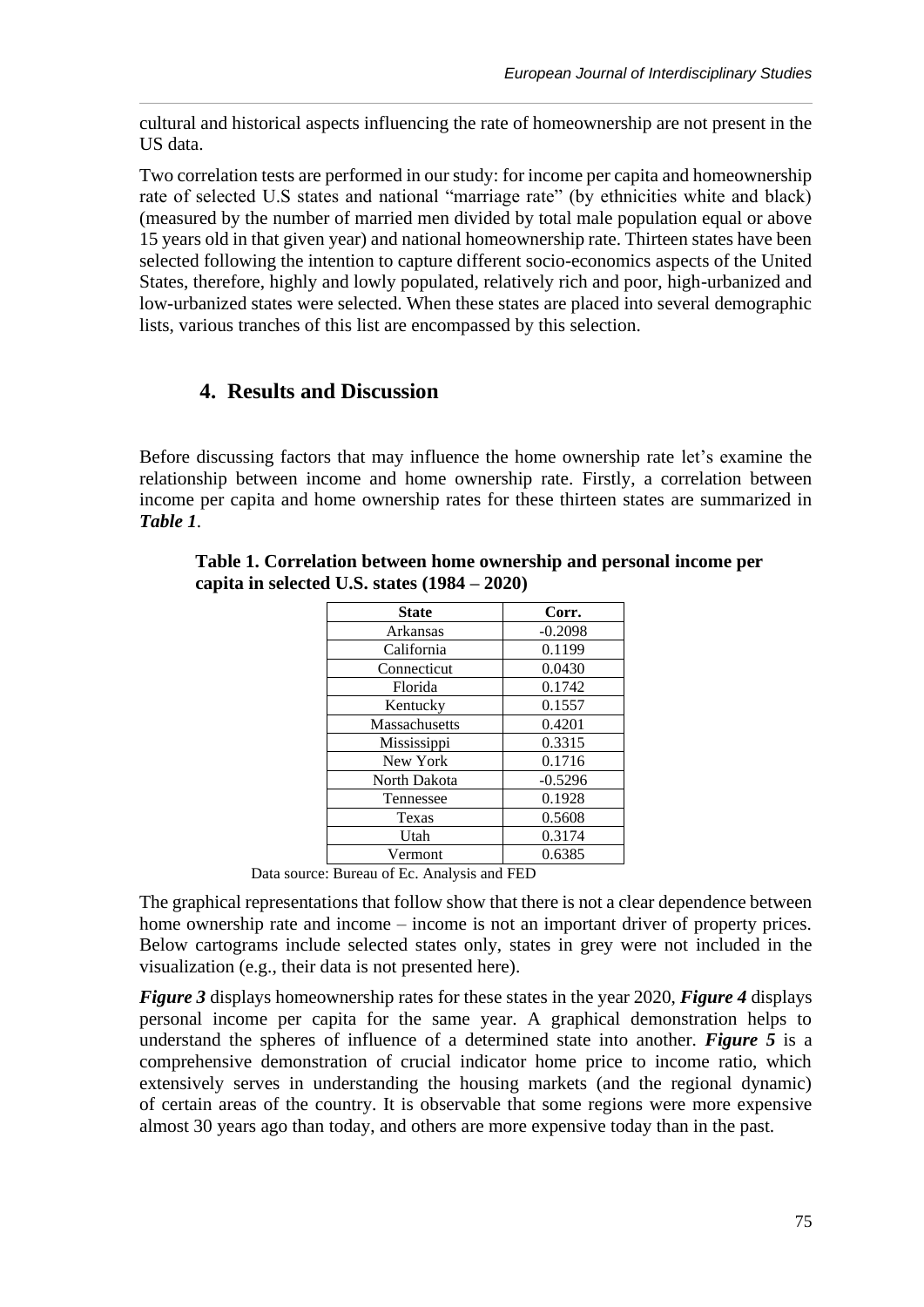cultural and historical aspects influencing the rate of homeownership are not present in the US data.

Two correlation tests are performed in our study: for income per capita and homeownership rate of selected U.S states and national "marriage rate" (by ethnicities white and black) (measured by the number of married men divided by total male population equal or above 15 years old in that given year) and national homeownership rate. Thirteen states have been selected following the intention to capture different socio-economics aspects of the United States, therefore, highly and lowly populated, relatively rich and poor, high-urbanized and low-urbanized states were selected. When these states are placed into several demographic lists, various tranches of this list are encompassed by this selection.

# **4. Results and Discussion**

Before discussing factors that may influence the home ownership rate let's examine the relationship between income and home ownership rate. Firstly, a correlation between income per capita and home ownership rates for these thirteen states are summarized in *Table 1*.

| Corr.                                              |
|----------------------------------------------------|
| $-0.2098$                                          |
| 0.1199                                             |
| 0.0430                                             |
| 0.1742                                             |
| 0.1557                                             |
| 0.4201                                             |
| 0.3315                                             |
| 0.1716                                             |
| $-0.5296$                                          |
| 0.1928                                             |
| 0.5608                                             |
| 0.3174                                             |
| 0.6385                                             |
| $D \cup C \cup C$ $A \cup 1$ $A \cup 1$ $D \cap D$ |

**Table 1. Correlation between home ownership and personal income per capita in selected U.S. states (1984 – 2020)**

Data source: Bureau of Ec. Analysis and FED

The graphical representations that follow show that there is not a clear dependence between home ownership rate and income – income is not an important driver of property prices. Below cartograms include selected states only, states in grey were not included in the visualization (e.g., their data is not presented here).

*Figure 3* displays homeownership rates for these states in the year 2020, *Figure 4* displays personal income per capita for the same year. A graphical demonstration helps to understand the spheres of influence of a determined state into another. *Figure 5* is a comprehensive demonstration of crucial indicator home price to income ratio, which extensively serves in understanding the housing markets (and the regional dynamic) of certain areas of the country. It is observable that some regions were more expensive almost 30 years ago than today, and others are more expensive today than in the past.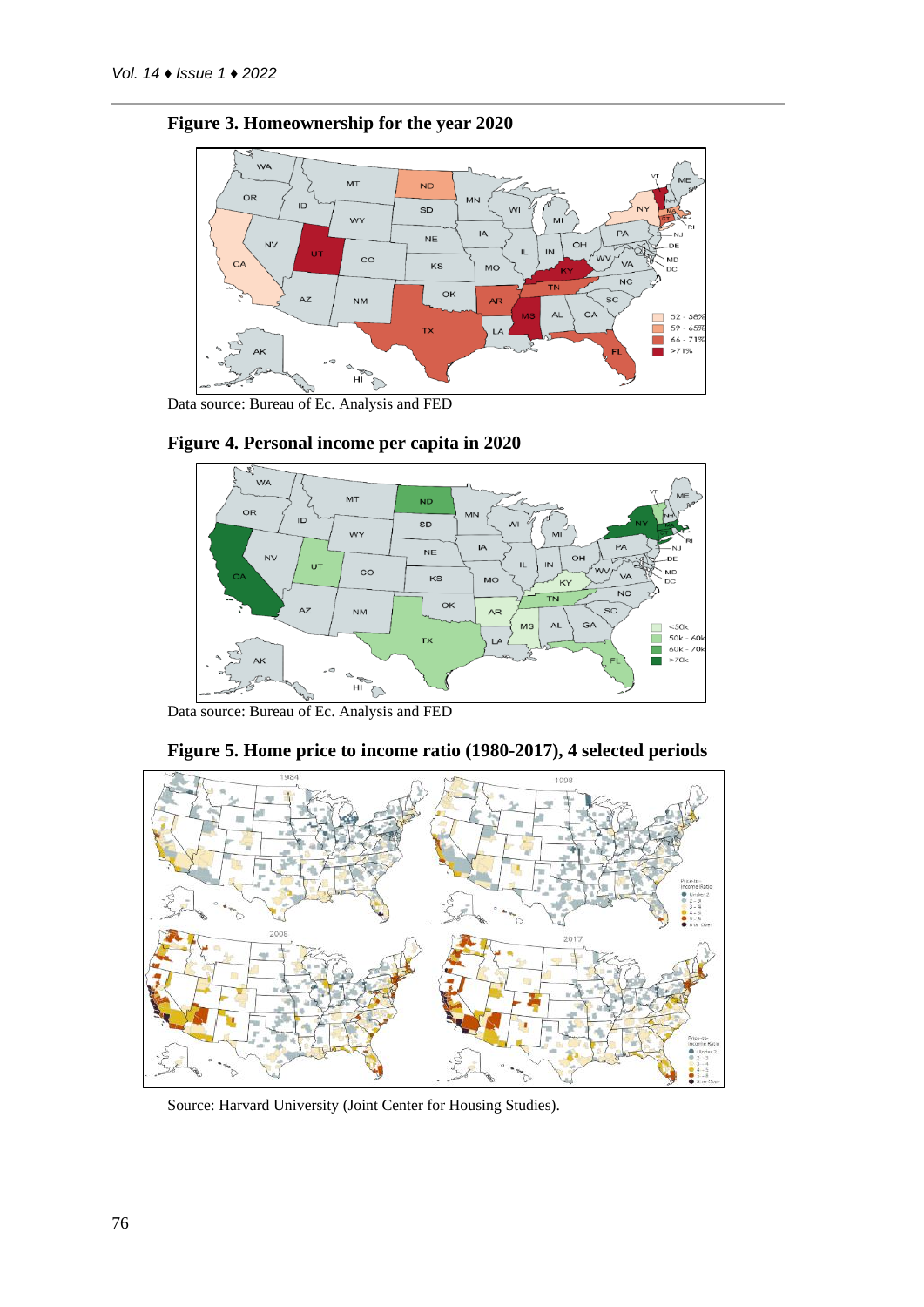

## **Figure 3. Homeownership for the year 2020**







Data source: Bureau of Ec. Analysis and FED



**Figure 5. Home price to income ratio (1980-2017), 4 selected periods**

Source: Harvard University (Joint Center for Housing Studies).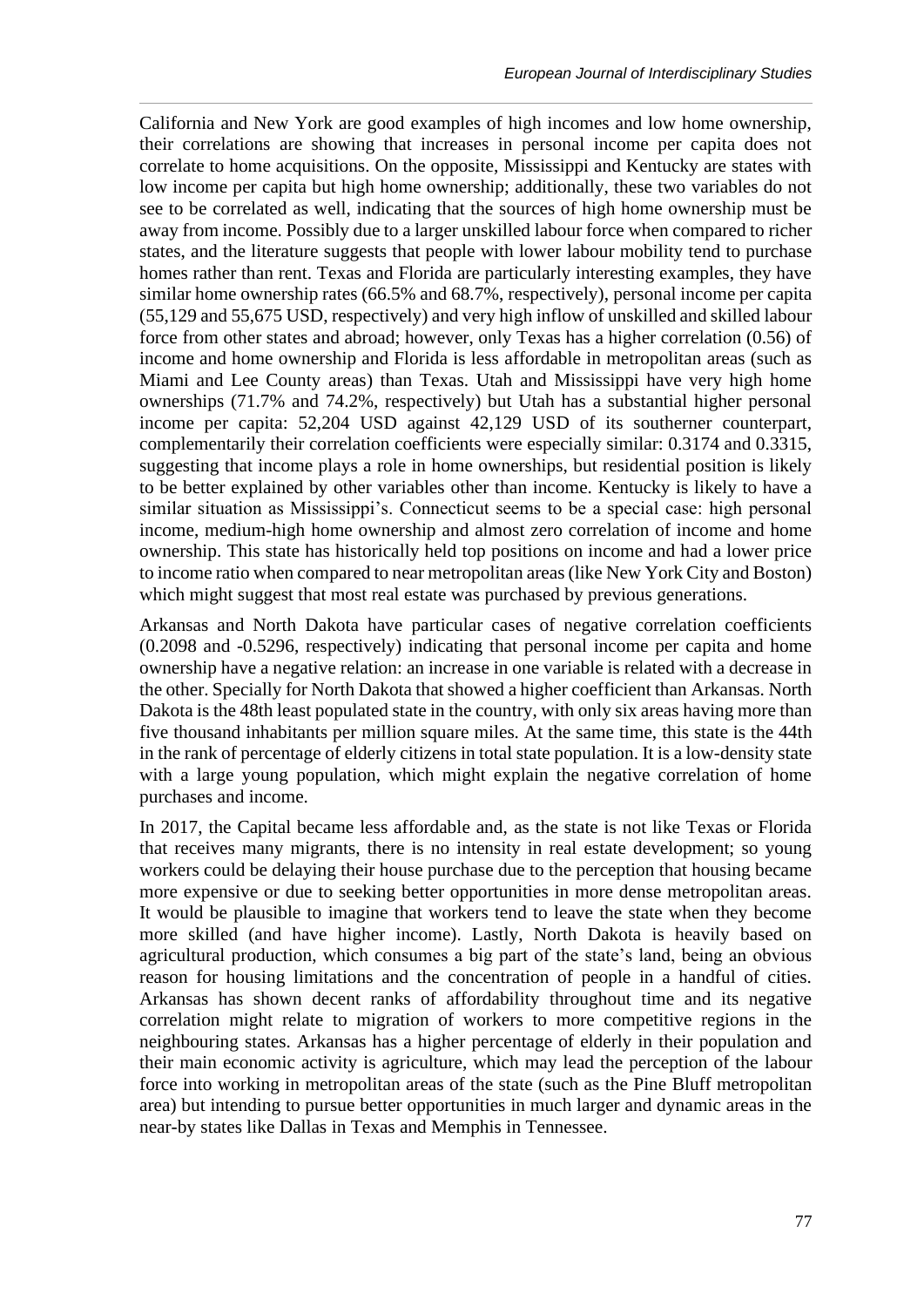California and New York are good examples of high incomes and low home ownership, their correlations are showing that increases in personal income per capita does not correlate to home acquisitions. On the opposite, Mississippi and Kentucky are states with low income per capita but high home ownership; additionally, these two variables do not see to be correlated as well, indicating that the sources of high home ownership must be away from income. Possibly due to a larger unskilled labour force when compared to richer states, and the literature suggests that people with lower labour mobility tend to purchase homes rather than rent. Texas and Florida are particularly interesting examples, they have similar home ownership rates (66.5% and 68.7%, respectively), personal income per capita (55,129 and 55,675 USD, respectively) and very high inflow of unskilled and skilled labour force from other states and abroad; however, only Texas has a higher correlation (0.56) of income and home ownership and Florida is less affordable in metropolitan areas (such as Miami and Lee County areas) than Texas. Utah and Mississippi have very high home ownerships (71.7% and 74.2%, respectively) but Utah has a substantial higher personal income per capita: 52,204 USD against 42,129 USD of its southerner counterpart, complementarily their correlation coefficients were especially similar: 0.3174 and 0.3315, suggesting that income plays a role in home ownerships, but residential position is likely to be better explained by other variables other than income. Kentucky is likely to have a similar situation as Mississippi's. Connecticut seems to be a special case: high personal income, medium-high home ownership and almost zero correlation of income and home ownership. This state has historically held top positions on income and had a lower price to income ratio when compared to near metropolitan areas (like New York City and Boston) which might suggest that most real estate was purchased by previous generations.

Arkansas and North Dakota have particular cases of negative correlation coefficients (0.2098 and -0.5296, respectively) indicating that personal income per capita and home ownership have a negative relation: an increase in one variable is related with a decrease in the other. Specially for North Dakota that showed a higher coefficient than Arkansas. North Dakota is the 48th least populated state in the country, with only six areas having more than five thousand inhabitants per million square miles. At the same time, this state is the 44th in the rank of percentage of elderly citizens in total state population. It is a low-density state with a large young population, which might explain the negative correlation of home purchases and income.

In 2017, the Capital became less affordable and, as the state is not like Texas or Florida that receives many migrants, there is no intensity in real estate development; so young workers could be delaying their house purchase due to the perception that housing became more expensive or due to seeking better opportunities in more dense metropolitan areas. It would be plausible to imagine that workers tend to leave the state when they become more skilled (and have higher income). Lastly, North Dakota is heavily based on agricultural production, which consumes a big part of the state's land, being an obvious reason for housing limitations and the concentration of people in a handful of cities. Arkansas has shown decent ranks of affordability throughout time and its negative correlation might relate to migration of workers to more competitive regions in the neighbouring states. Arkansas has a higher percentage of elderly in their population and their main economic activity is agriculture, which may lead the perception of the labour force into working in metropolitan areas of the state (such as the Pine Bluff metropolitan area) but intending to pursue better opportunities in much larger and dynamic areas in the near-by states like Dallas in Texas and Memphis in Tennessee.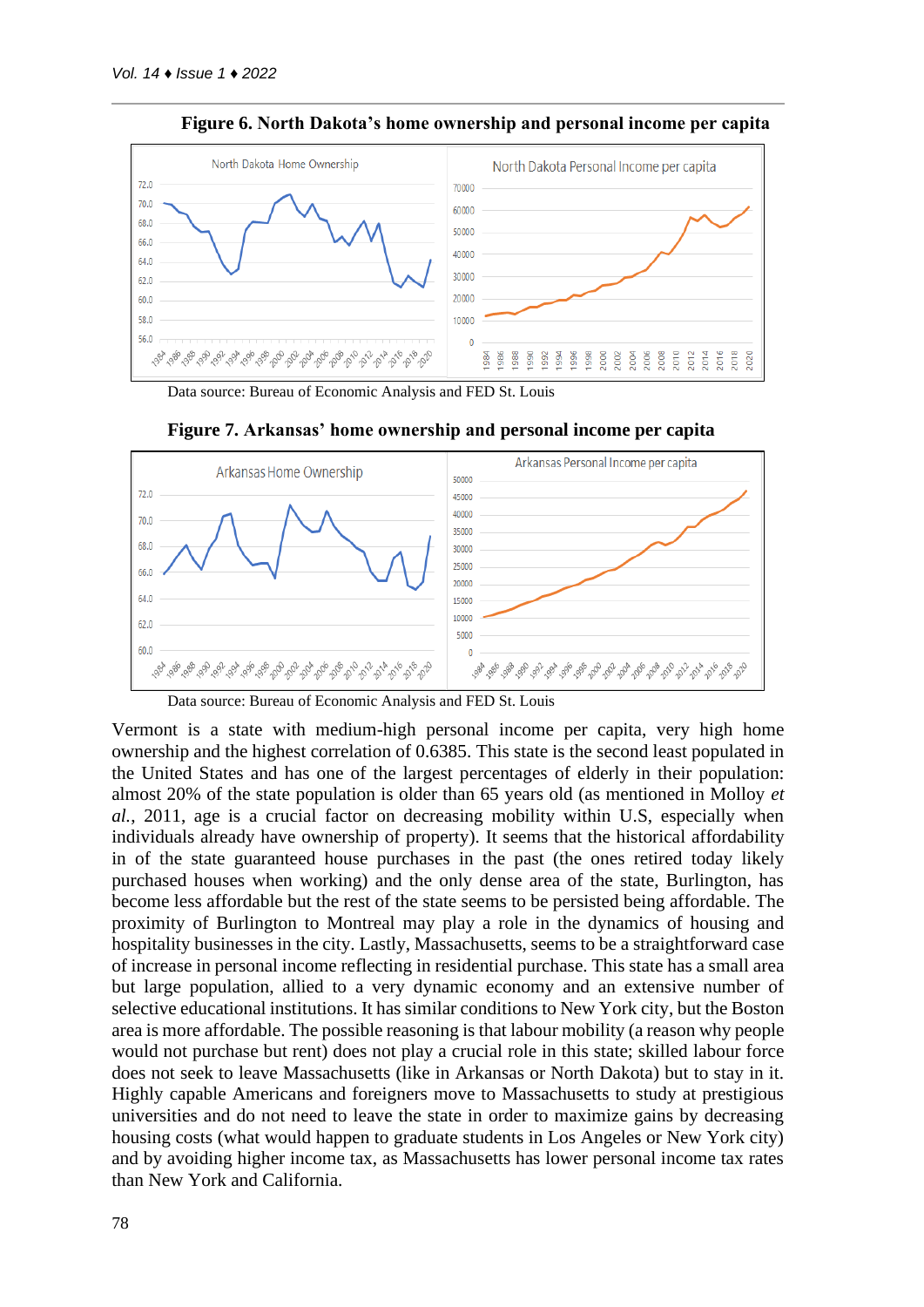

**Figure 6. North Dakota's home ownership and personal income per capita**

Data source: Bureau of Economic Analysis and FED St. Louis



**Figure 7. Arkansas' home ownership and personal income per capita**

Vermont is a state with medium-high personal income per capita, very high home ownership and the highest correlation of 0.6385. This state is the second least populated in the United States and has one of the largest percentages of elderly in their population: almost 20% of the state population is older than 65 years old (as mentioned in Molloy *et al.*, 2011, age is a crucial factor on decreasing mobility within U.S, especially when individuals already have ownership of property). It seems that the historical affordability in of the state guaranteed house purchases in the past (the ones retired today likely purchased houses when working) and the only dense area of the state, Burlington, has become less affordable but the rest of the state seems to be persisted being affordable. The proximity of Burlington to Montreal may play a role in the dynamics of housing and hospitality businesses in the city. Lastly, Massachusetts, seems to be a straightforward case of increase in personal income reflecting in residential purchase. This state has a small area but large population, allied to a very dynamic economy and an extensive number of selective educational institutions. It has similar conditions to New York city, but the Boston area is more affordable. The possible reasoning is that labour mobility (a reason why people would not purchase but rent) does not play a crucial role in this state; skilled labour force does not seek to leave Massachusetts (like in Arkansas or North Dakota) but to stay in it. Highly capable Americans and foreigners move to Massachusetts to study at prestigious universities and do not need to leave the state in order to maximize gains by decreasing housing costs (what would happen to graduate students in Los Angeles or New York city) and by avoiding higher income tax, as Massachusetts has lower personal income tax rates than New York and California.

Data source: Bureau of Economic Analysis and FED St. Louis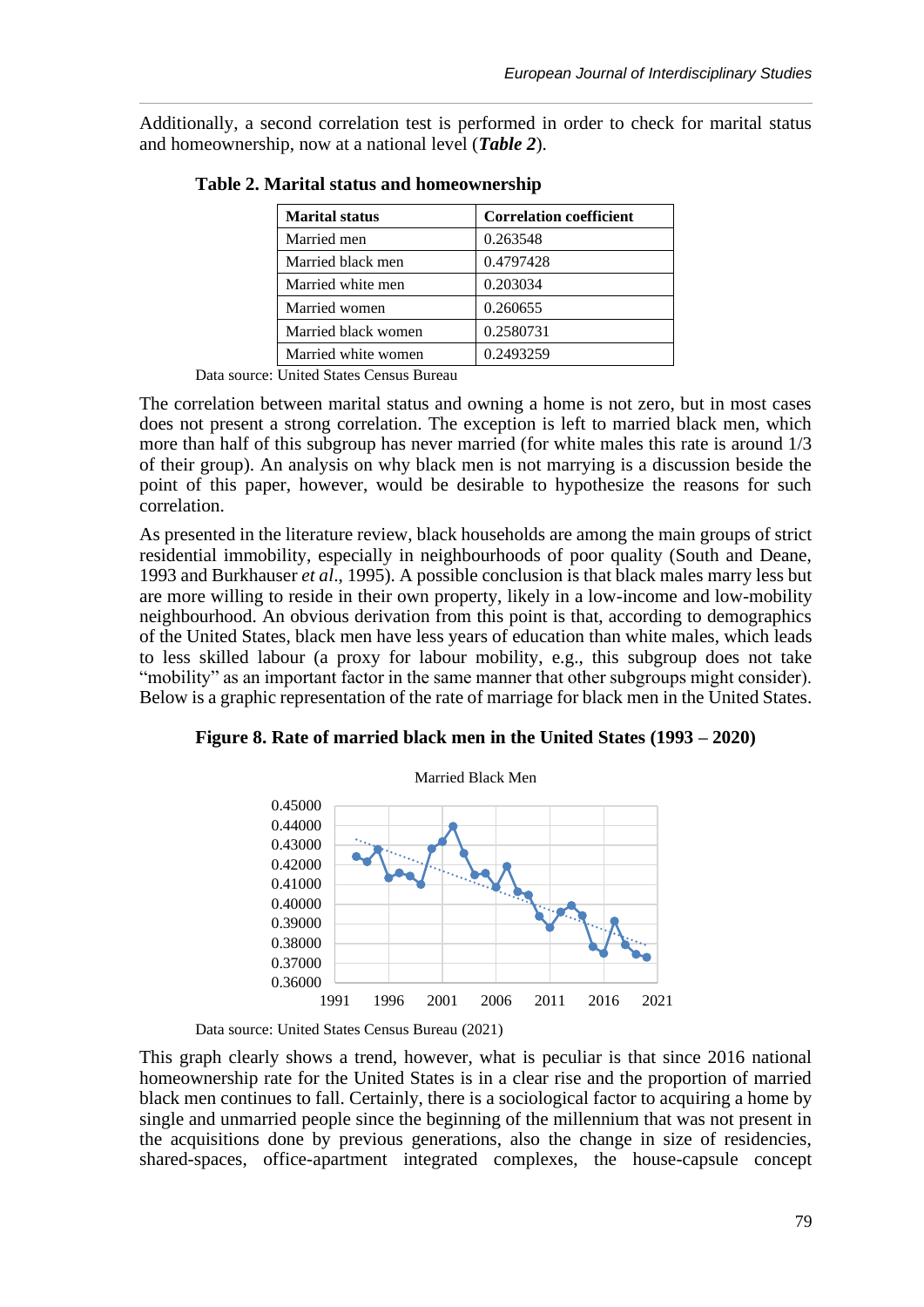Additionally, a second correlation test is performed in order to check for marital status and homeownership, now at a national level (*Table 2*).

| <b>Marital status</b> | <b>Correlation coefficient</b> |
|-----------------------|--------------------------------|
| Married men           | 0.263548                       |
| Married black men     | 0.4797428                      |
| Married white men     | 0.203034                       |
| Married women         | 0.260655                       |
| Married black women   | 0.2580731                      |
| Married white women   | 0.2493259                      |

**Table 2. Marital status and homeownership**

Data source: United States Census Bureau

The correlation between marital status and owning a home is not zero, but in most cases does not present a strong correlation. The exception is left to married black men, which more than half of this subgroup has never married (for white males this rate is around 1/3 of their group). An analysis on why black men is not marrying is a discussion beside the point of this paper, however, would be desirable to hypothesize the reasons for such correlation.

As presented in the literature review, black households are among the main groups of strict residential immobility, especially in neighbourhoods of poor quality (South and Deane, 1993 and Burkhauser *et al*., 1995). A possible conclusion is that black males marry less but are more willing to reside in their own property, likely in a low-income and low-mobility neighbourhood. An obvious derivation from this point is that, according to demographics of the United States, black men have less years of education than white males, which leads to less skilled labour (a proxy for labour mobility, e.g., this subgroup does not take "mobility" as an important factor in the same manner that other subgroups might consider). Below is a graphic representation of the rate of marriage for black men in the United States.

**Figure 8. Rate of married black men in the United States (1993 – 2020)**



Data source: United States Census Bureau (2021)

This graph clearly shows a trend, however, what is peculiar is that since 2016 national homeownership rate for the United States is in a clear rise and the proportion of married black men continues to fall. Certainly, there is a sociological factor to acquiring a home by single and unmarried people since the beginning of the millennium that was not present in the acquisitions done by previous generations, also the change in size of residencies, shared-spaces, office-apartment integrated complexes, the house-capsule concept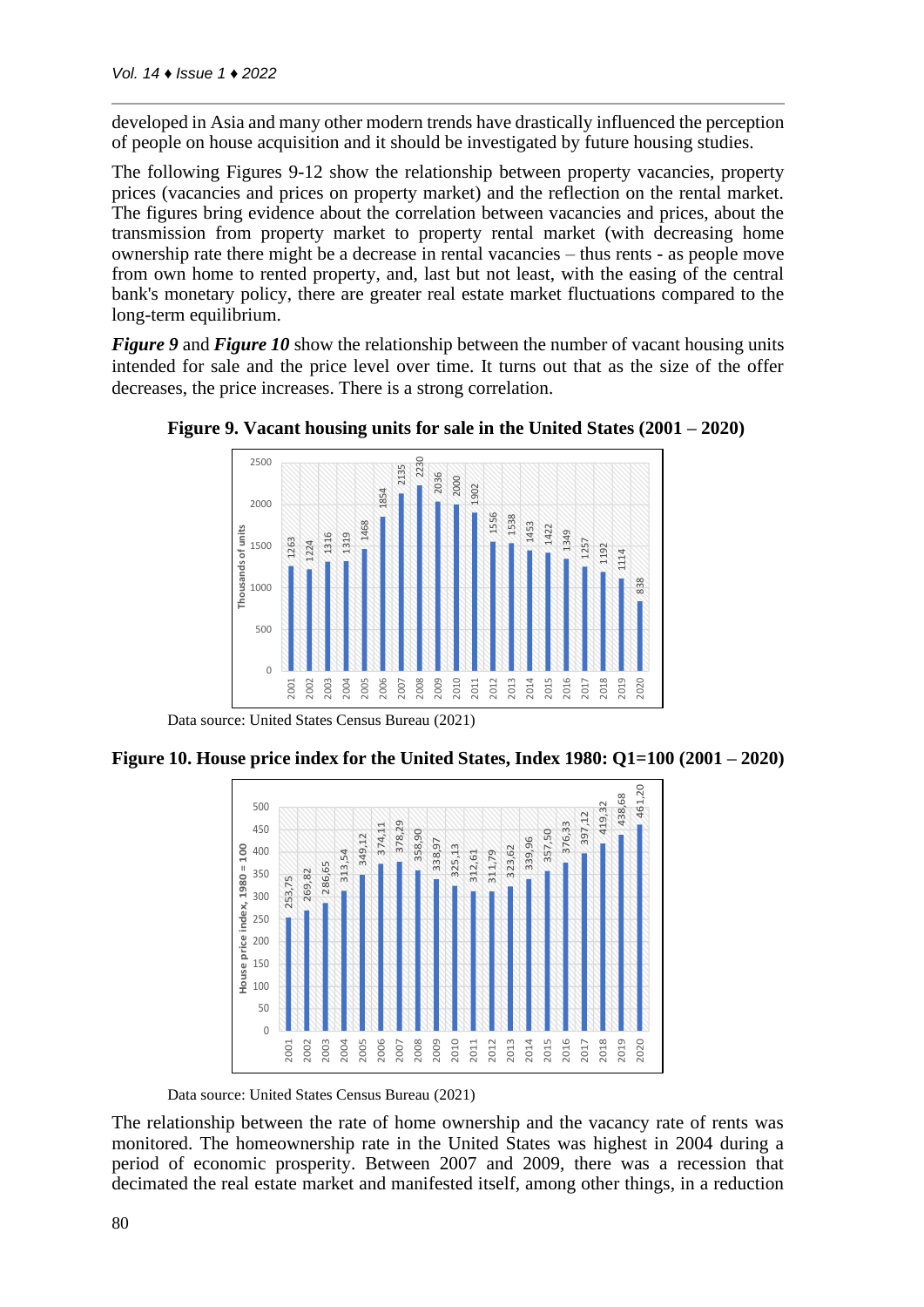developed in Asia and many other modern trends have drastically influenced the perception of people on house acquisition and it should be investigated by future housing studies.

The following Figures 9-12 show the relationship between property vacancies, property prices (vacancies and prices on property market) and the reflection on the rental market. The figures bring evidence about the correlation between vacancies and prices, about the transmission from property market to property rental market (with decreasing home ownership rate there might be a decrease in rental vacancies – thus rents - as people move from own home to rented property, and, last but not least, with the easing of the central bank's monetary policy, there are greater real estate market fluctuations compared to the long-term equilibrium.

*Figure 9* and *Figure 10* show the relationship between the number of vacant housing units intended for sale and the price level over time. It turns out that as the size of the offer decreases, the price increases. There is a strong correlation.



**Figure 9. Vacant housing units for sale in the United States (2001 – 2020)**

Data source: United States Census Bureau (2021)

**Figure 10. House price index for the United States, Index 1980: Q1=100 (2001 – 2020)** 



Data source: United States Census Bureau (2021)

The relationship between the rate of home ownership and the vacancy rate of rents was monitored. The homeownership rate in the United States was highest in 2004 during a period of economic prosperity. Between 2007 and 2009, there was a recession that decimated the real estate market and manifested itself, among other things, in a reduction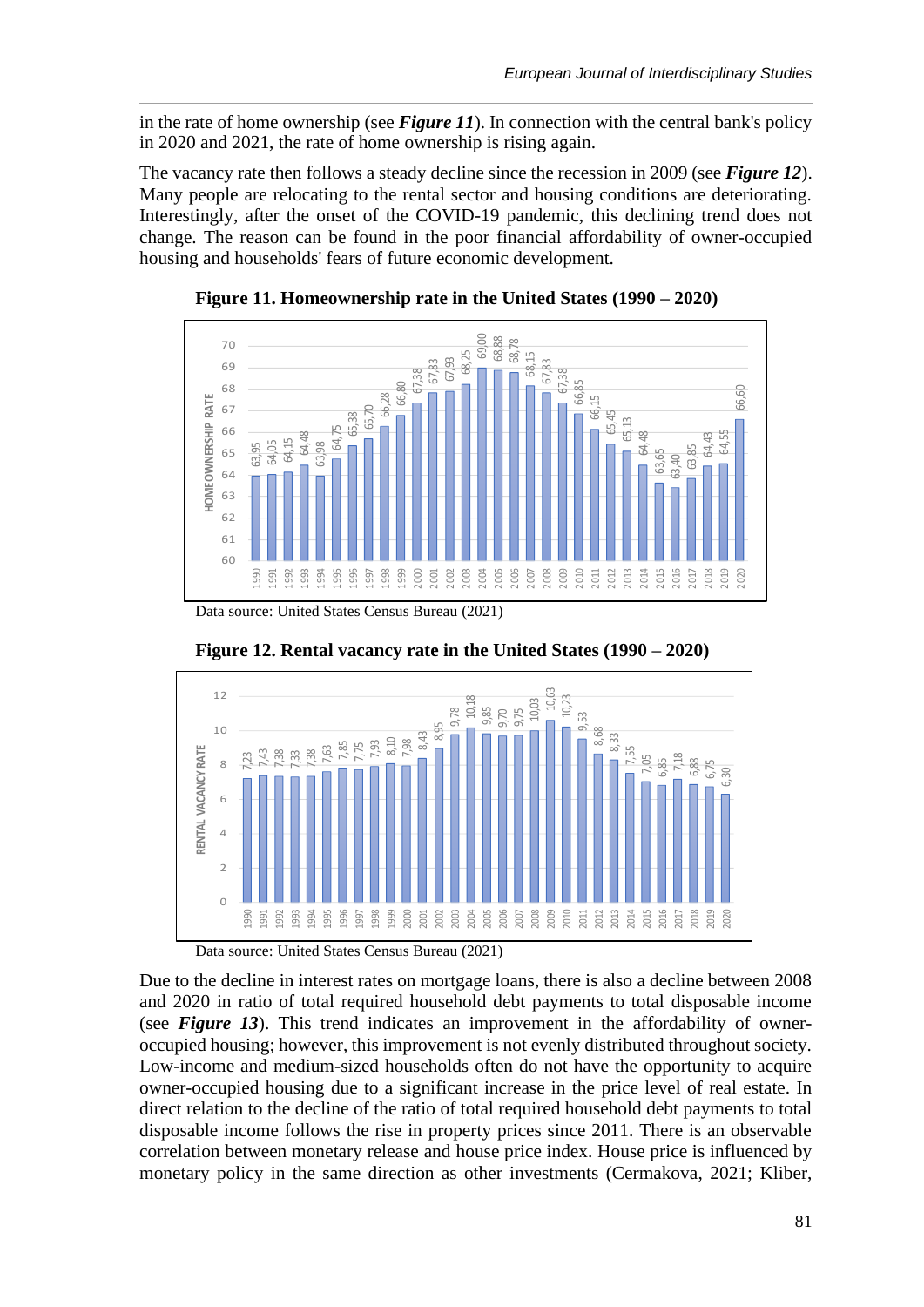in the rate of home ownership (see *Figure 11*). In connection with the central bank's policy in 2020 and 2021, the rate of home ownership is rising again.

The vacancy rate then follows a steady decline since the recession in 2009 (see *Figure 12*). Many people are relocating to the rental sector and housing conditions are deteriorating. Interestingly, after the onset of the COVID-19 pandemic, this declining trend does not change. The reason can be found in the poor financial affordability of owner-occupied housing and households' fears of future economic development.



**Figure 11. Homeownership rate in the United States (1990 – 2020)**

Data source: United States Census Bureau (2021)





Data source: United States Census Bureau (2021)

Due to the decline in interest rates on mortgage loans, there is also a decline between 2008 and 2020 in ratio of total required household debt payments to total disposable income (see *Figure 13*). This trend indicates an improvement in the affordability of owneroccupied housing; however, this improvement is not evenly distributed throughout society. Low-income and medium-sized households often do not have the opportunity to acquire owner-occupied housing due to a significant increase in the price level of real estate. In direct relation to the decline of the ratio of total required household debt payments to total disposable income follows the rise in property prices since 2011. There is an observable correlation between monetary release and house price index. House price is influenced by monetary policy in the same direction as other investments (Cermakova, 2021; Kliber,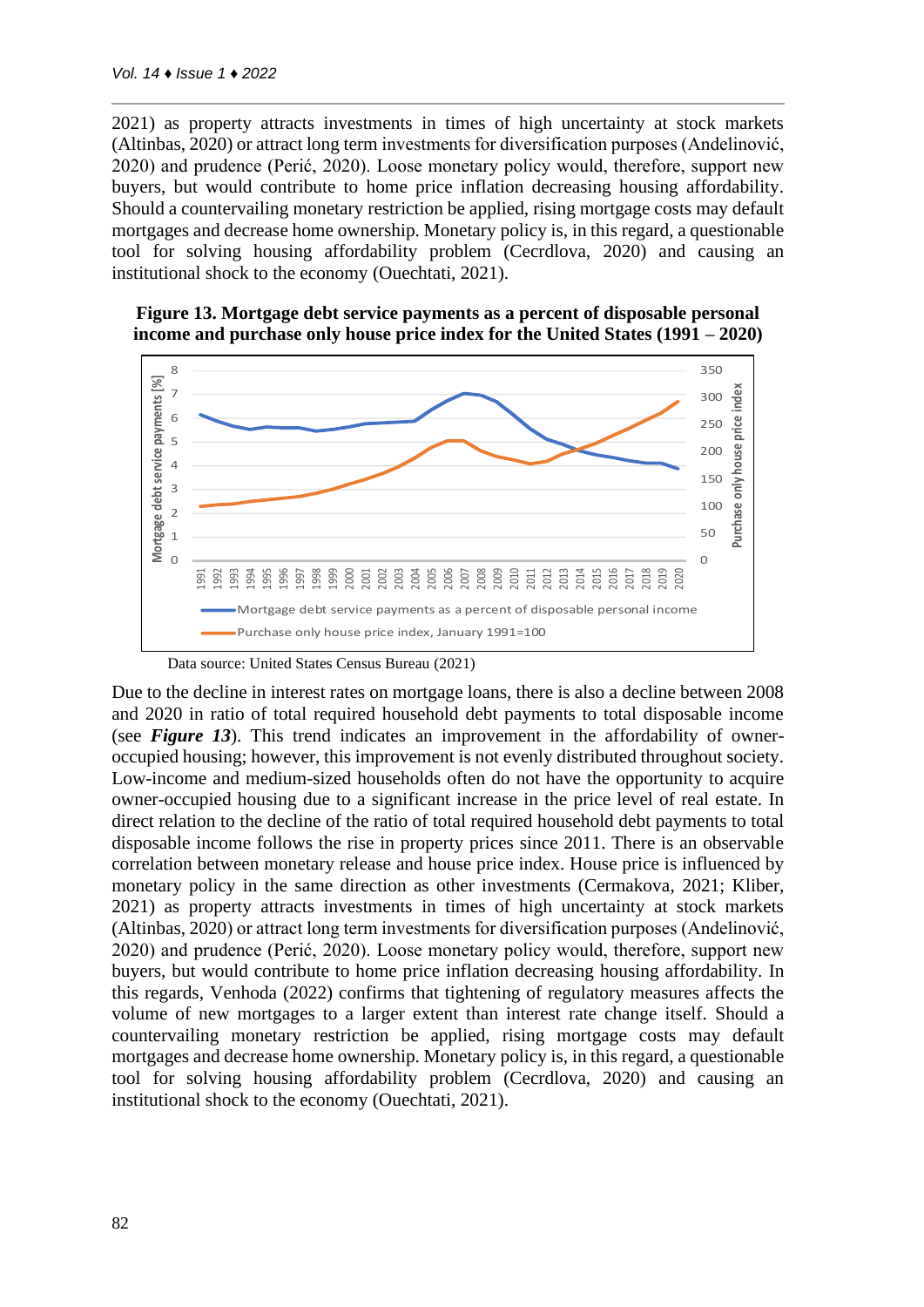2021) as property attracts investments in times of high uncertainty at stock markets (Altinbas, 2020) or attract long term investments for diversification purposes (Andelinović, 2020) and prudence (Perić, 2020). Loose monetary policy would, therefore, support new buyers, but would contribute to home price inflation decreasing housing affordability. Should a countervailing monetary restriction be applied, rising mortgage costs may default mortgages and decrease home ownership. Monetary policy is, in this regard, a questionable tool for solving housing affordability problem (Cecrdlova, 2020) and causing an institutional shock to the economy (Ouechtati, 2021).





Due to the decline in interest rates on mortgage loans, there is also a decline between 2008 and 2020 in ratio of total required household debt payments to total disposable income (see *Figure 13*). This trend indicates an improvement in the affordability of owneroccupied housing; however, this improvement is not evenly distributed throughout society. Low-income and medium-sized households often do not have the opportunity to acquire owner-occupied housing due to a significant increase in the price level of real estate. In direct relation to the decline of the ratio of total required household debt payments to total disposable income follows the rise in property prices since 2011. There is an observable correlation between monetary release and house price index. House price is influenced by monetary policy in the same direction as other investments (Cermakova, 2021; Kliber, 2021) as property attracts investments in times of high uncertainty at stock markets (Altinbas, 2020) or attract long term investments for diversification purposes (Andelinović, 2020) and prudence (Perić, 2020). Loose monetary policy would, therefore, support new buyers, but would contribute to home price inflation decreasing housing affordability. In this regards, Venhoda (2022) confirms that tightening of regulatory measures affects the volume of new mortgages to a larger extent than interest rate change itself. Should a countervailing monetary restriction be applied, rising mortgage costs may default mortgages and decrease home ownership. Monetary policy is, in this regard, a questionable tool for solving housing affordability problem (Cecrdlova, 2020) and causing an institutional shock to the economy (Ouechtati, 2021).

Data source: United States Census Bureau (2021)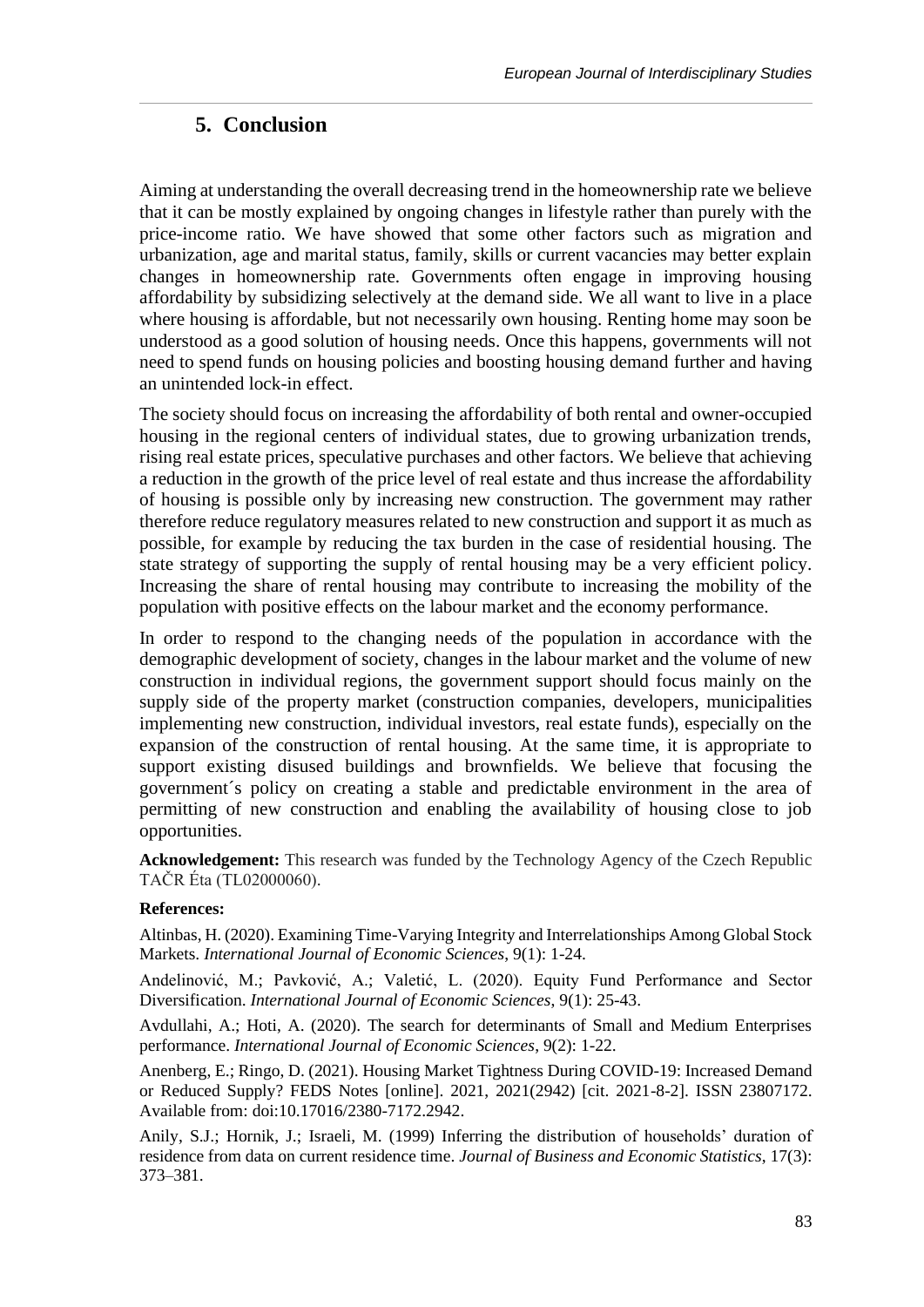## **5. Conclusion**

Aiming at understanding the overall decreasing trend in the homeownership rate we believe that it can be mostly explained by ongoing changes in lifestyle rather than purely with the price-income ratio. We have showed that some other factors such as migration and urbanization, age and marital status, family, skills or current vacancies may better explain changes in homeownership rate. Governments often engage in improving housing affordability by subsidizing selectively at the demand side. We all want to live in a place where housing is affordable, but not necessarily own housing. Renting home may soon be understood as a good solution of housing needs. Once this happens, governments will not need to spend funds on housing policies and boosting housing demand further and having an unintended lock-in effect.

The society should focus on increasing the affordability of both rental and owner-occupied housing in the regional centers of individual states, due to growing urbanization trends, rising real estate prices, speculative purchases and other factors. We believe that achieving a reduction in the growth of the price level of real estate and thus increase the affordability of housing is possible only by increasing new construction. The government may rather therefore reduce regulatory measures related to new construction and support it as much as possible, for example by reducing the tax burden in the case of residential housing. The state strategy of supporting the supply of rental housing may be a very efficient policy. Increasing the share of rental housing may contribute to increasing the mobility of the population with positive effects on the labour market and the economy performance.

In order to respond to the changing needs of the population in accordance with the demographic development of society, changes in the labour market and the volume of new construction in individual regions, the government support should focus mainly on the supply side of the property market (construction companies, developers, municipalities implementing new construction, individual investors, real estate funds), especially on the expansion of the construction of rental housing. At the same time, it is appropriate to support existing disused buildings and brownfields. We believe that focusing the government´s policy on creating a stable and predictable environment in the area of permitting of new construction and enabling the availability of housing close to job opportunities.

**Acknowledgement:** This research was funded by the Technology Agency of the Czech Republic TAČR Éta (TL02000060).

### **References:**

Altinbas, H. (2020). Examining Time-Varying Integrity and Interrelationships Among Global Stock Markets. *International Journal of Economic Sciences*, 9(1): 1-24.

Andelinović, M.; Pavković, A.; Valetić, L. (2020). Equity Fund Performance and Sector Diversification. *International Journal of Economic Sciences*, 9(1): 25-43.

Avdullahi, A.; Hoti, A. (2020). The search for determinants of Small and Medium Enterprises performance. *International Journal of Economic Sciences*, 9(2): 1-22.

Anenberg, E.; Ringo, D. (2021). Housing Market Tightness During COVID-19: Increased Demand or Reduced Supply? FEDS Notes [online]. 2021, 2021(2942) [cit. 2021-8-2]. ISSN 23807172. Available from: doi:10.17016/2380-7172.2942.

Anily, S.J.; Hornik, J.; Israeli, M. (1999) Inferring the distribution of households' duration of residence from data on current residence time. *Journal of Business and Economic Statistics*, 17(3): 373–381.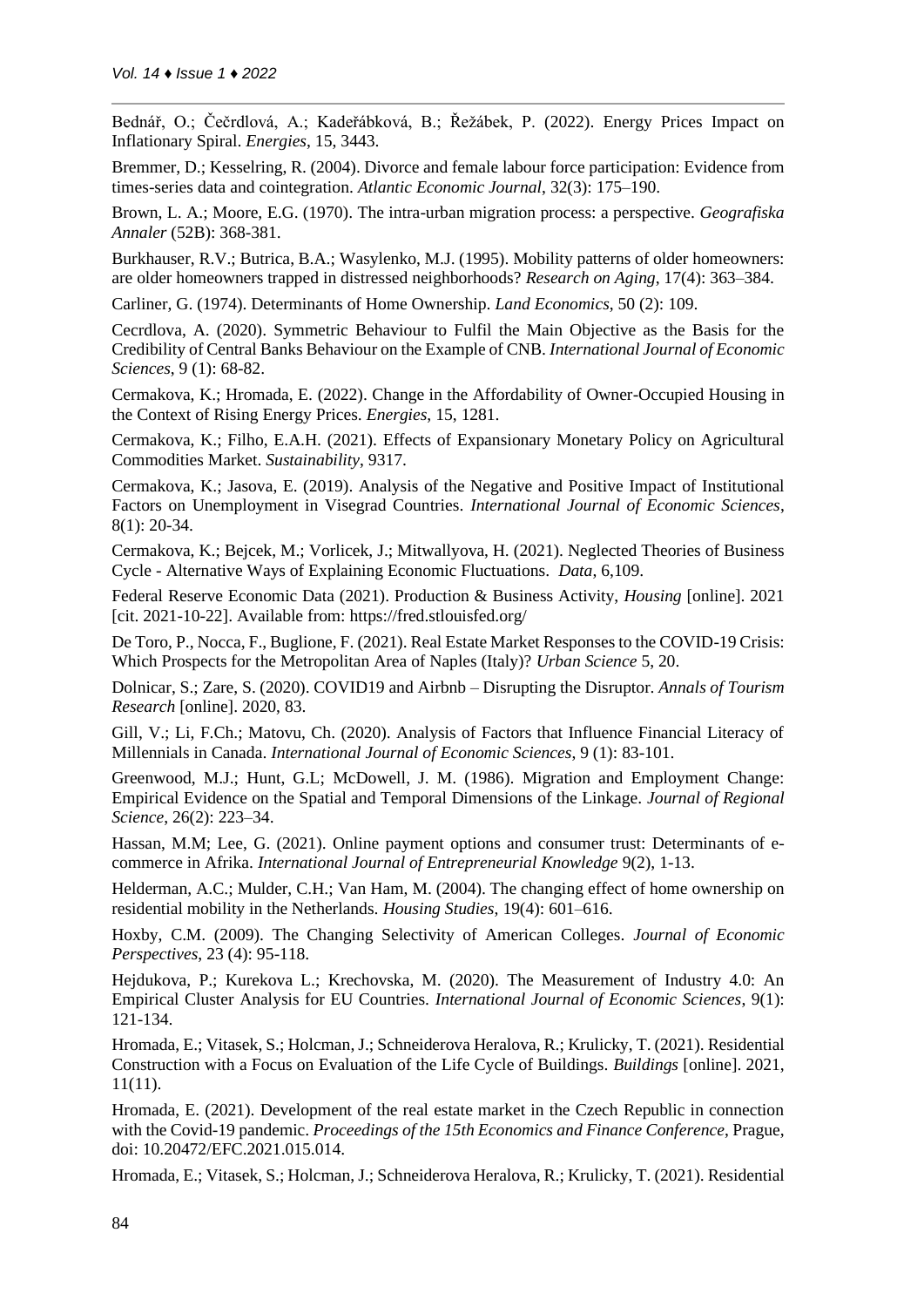Bednář, O.; Čečrdlová, A.; Kadeřábková, B.; Řežábek, P. (2022). Energy Prices Impact on Inflationary Spiral. *Energies*, 15, 3443.

Bremmer, D.; Kesselring, R. (2004). Divorce and female labour force participation: Evidence from times-series data and cointegration. *Atlantic Economic Journal*, 32(3): 175–190.

Brown, L. A.; Moore, E.G. (1970). The intra-urban migration process: a perspective. *Geografiska Annaler* (52B): 368-381.

Burkhauser, R.V.; Butrica, B.A.; Wasylenko, M.J. (1995). Mobility patterns of older homeowners: are older homeowners trapped in distressed neighborhoods? *Research on Aging*, 17(4): 363–384.

Carliner, G. (1974). Determinants of Home Ownership. *Land Economics*, 50 (2): 109.

Cecrdlova, A. (2020). Symmetric Behaviour to Fulfil the Main Objective as the Basis for the Credibility of Central Banks Behaviour on the Example of CNB. *International Journal of Economic Sciences*, 9 (1): 68-82.

Cermakova, K.; Hromada, E. (2022). Change in the Affordability of Owner-Occupied Housing in the Context of Rising Energy Prices. *Energies*, 15, 1281.

Cermakova, K.; Filho, E.A.H. (2021). Effects of Expansionary Monetary Policy on Agricultural Commodities Market. *Sustainability*, 9317.

Cermakova, K.; Jasova, E. (2019). Analysis of the Negative and Positive Impact of Institutional Factors on Unemployment in Visegrad Countries. *International Journal of Economic Sciences*, 8(1): 20-34.

Cermakova, K.; Bejcek, M.; Vorlicek, J.; Mitwallyova, H. (2021). Neglected Theories of Business Cycle - Alternative Ways of Explaining Economic Fluctuations. *Data*, 6,109.

Federal Reserve Economic Data (2021). Production & Business Activity, *Housing* [online]. 2021 [cit. 2021-10-22]. Available from: https://fred.stlouisfed.org/

De Toro, P., Nocca, F., Buglione, F. (2021). Real Estate Market Responses to the COVID-19 Crisis: Which Prospects for the Metropolitan Area of Naples (Italy)? *Urban Science* 5, 20.

Dolnicar, S.; Zare, S. (2020). COVID19 and Airbnb – Disrupting the Disruptor. *Annals of Tourism Research* [online]. 2020, 83.

Gill, V.; Li, F.Ch.; Matovu, Ch. (2020). Analysis of Factors that Influence Financial Literacy of Millennials in Canada. *International Journal of Economic Sciences*, 9 (1): 83-101.

Greenwood, M.J.; Hunt, G.L; McDowell, J. M. (1986). Migration and Employment Change: Empirical Evidence on the Spatial and Temporal Dimensions of the Linkage. *Journal of Regional Science*, 26(2): 223–34.

Hassan, M.M; Lee, G. (2021). Online payment options and consumer trust: Determinants of ecommerce in Afrika. *International Journal of Entrepreneurial Knowledge* 9(2), 1-13.

Helderman, A.C.; Mulder, C.H.; Van Ham, M. (2004). The changing effect of home ownership on residential mobility in the Netherlands. *Housing Studies*, 19(4): 601–616.

Hoxby, C.M. (2009). The Changing Selectivity of American Colleges. *Journal of Economic Perspectives*, 23 (4): 95-118.

Hejdukova, P.; Kurekova L.; Krechovska, M. (2020). The Measurement of Industry 4.0: An Empirical Cluster Analysis for EU Countries. *International Journal of Economic Sciences*, 9(1): 121-134.

Hromada, E.; Vitasek, S.; Holcman, J.; Schneiderova Heralova, R.; Krulicky, T. (2021). Residential Construction with a Focus on Evaluation of the Life Cycle of Buildings. *Buildings* [online]. 2021, 11(11).

Hromada, E. (2021). Development of the real estate market in the Czech Republic in connection with the Covid-19 pandemic. *Proceedings of the 15th Economics and Finance Conference*, Prague, doi: 10.20472/EFC.2021.015.014.

Hromada, E.; Vitasek, S.; Holcman, J.; Schneiderova Heralova, R.; Krulicky, T. (2021). Residential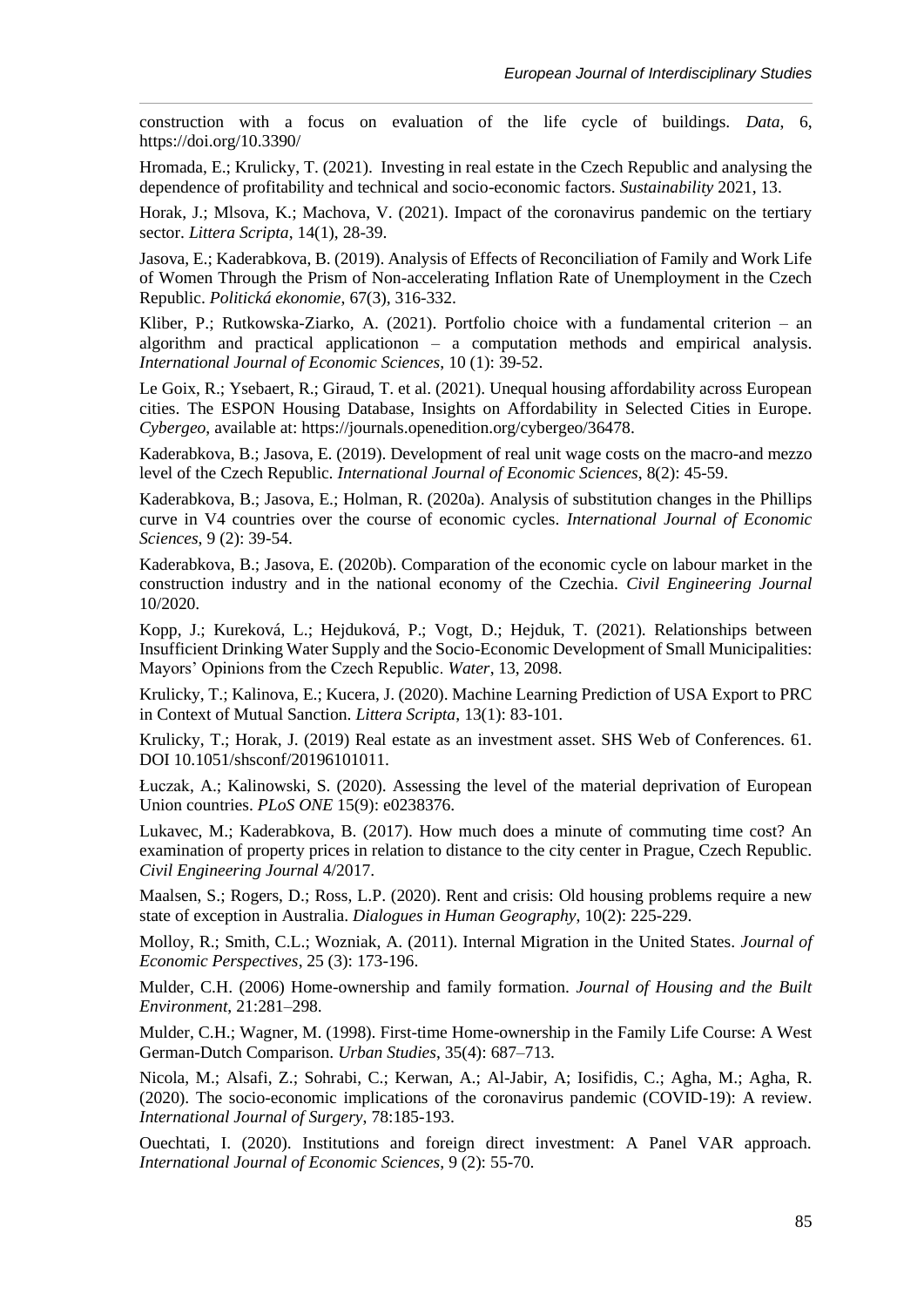construction with a focus on evaluation of the life cycle of buildings. *Data*, 6, https://doi.org/10.3390/

Hromada, E.; Krulicky, T. (2021). Investing in real estate in the Czech Republic and analysing the dependence of profitability and technical and socio-economic factors. *Sustainability* 2021, 13.

Horak, J.; Mlsova, K.; Machova, V. (2021). Impact of the coronavirus pandemic on the tertiary sector. *Littera Scripta*, 14(1), 28-39.

Jasova, E.; Kaderabkova, B. (2019). Analysis of Effects of Reconciliation of Family and Work Life of Women Through the Prism of Non-accelerating Inflation Rate of Unemployment in the Czech Republic. *Politická ekonomie*, 67(3), 316-332.

Kliber, P.; Rutkowska-Ziarko, A. (2021). Portfolio choice with a fundamental criterion – an algorithm and practical applicationon – a computation methods and empirical analysis. *International Journal of Economic Sciences*, 10 (1): 39-52.

Le Goix, R.; Ysebaert, R.; Giraud, T. et al. (2021). Unequal housing affordability across European cities. The ESPON Housing Database, Insights on Affordability in Selected Cities in Europe. *Cybergeo*, available at: https://journals.openedition.org/cybergeo/36478.

Kaderabkova, B.; Jasova, E. (2019). Development of real unit wage costs on the macro-and mezzo level of the Czech Republic. *International Journal of Economic Sciences*, 8(2): 45-59.

Kaderabkova, B.; Jasova, E.; Holman, R. (2020a). Analysis of substitution changes in the Phillips curve in V4 countries over the course of economic cycles. *International Journal of Economic Sciences*, 9 (2): 39-54.

Kaderabkova, B.; Jasova, E. (2020b). Comparation of the economic cycle on labour market in the construction industry and in the national economy of the Czechia. *Civil Engineering Journal* 10/2020.

Kopp, J.; Kureková, L.; Hejduková, P.; Vogt, D.; Hejduk, T. (2021). Relationships between Insufficient Drinking Water Supply and the Socio-Economic Development of Small Municipalities: Mayors' Opinions from the Czech Republic. *Water*, 13, 2098.

Krulicky, T.; Kalinova, E.; Kucera, J. (2020). Machine Learning Prediction of USA Export to PRC in Context of Mutual Sanction. *Littera Scripta*, 13(1): 83-101.

Krulicky, T.; Horak, J. (2019) Real estate as an investment asset. SHS Web of Conferences. 61. DOI 10.1051/shsconf/20196101011.

Łuczak, A.; Kalinowski, S. (2020). Assessing the level of the material deprivation of European Union countries. *PLoS ONE* 15(9): e0238376.

Lukavec, M.; Kaderabkova, B. (2017). How much does a minute of commuting time cost? An examination of property prices in relation to distance to the city center in Prague, Czech Republic. *Civil Engineering Journal* 4/2017.

Maalsen, S.; Rogers, D.; Ross, L.P. (2020). Rent and crisis: Old housing problems require a new state of exception in Australia. *Dialogues in Human Geography*, 10(2): 225-229.

Molloy, R.; Smith, C.L.; Wozniak, A. (2011). Internal Migration in the United States. *Journal of Economic Perspectives*, 25 (3): 173-196.

Mulder, C.H. (2006) Home-ownership and family formation. *Journal of Housing and the Built Environment*, 21:281–298.

Mulder, C.H.; Wagner, M. (1998). First-time Home-ownership in the Family Life Course: A West German-Dutch Comparison. *Urban Studies*, 35(4): 687–713.

Nicola, M.; Alsafi, Z.; Sohrabi, C.; Kerwan, A.; Al-Jabir, A; Iosifidis, C.; Agha, M.; Agha, R. (2020). The socio-economic implications of the coronavirus pandemic (COVID-19): A review. *International Journal of Surgery*, 78:185-193.

Ouechtati, I. (2020). Institutions and foreign direct investment: A Panel VAR approach. *International Journal of Economic Sciences*, 9 (2): 55-70.